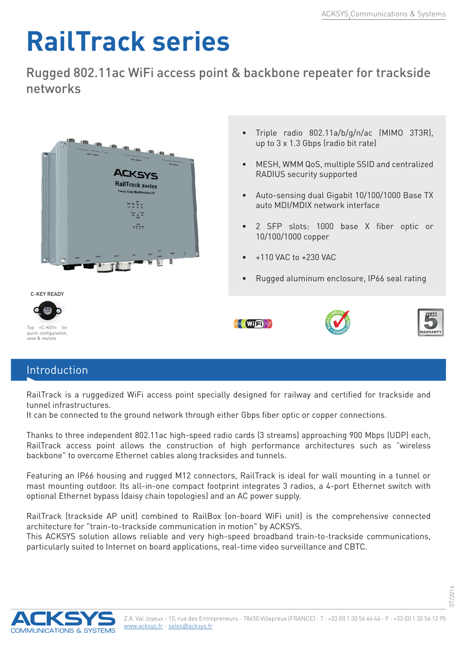## **RailTrack series**

Rugged 802.11ac WiFi access point & backbone repeater for trackside networks



## Introduction

RailTrack is a ruggedized WiFi access point specially designed for railway and certified for trackside and tunnel infrastructures.

It can be connected to the ground network through either Gbps fiber optic or copper connections.

Thanks to three independent 802.11ac high-speed radio cards (3 streams) approaching 900 Mbps (UDP) each, RailTrack access point allows the construction of high performance architectures such as "wireless backbone" to overcome Ethernet cables along tracksides and tunnels.

Featuring an IP66 housing and rugged M12 connectors, RailTrack is ideal for wall mounting in a tunnel or mast mounting outdoor. Its all-in-one compact footprint integrates 3 radios, a 4-port Ethernet switch with optional Ethernet bypass (daisy chain topologies) and an AC power supply.

RailTrack (trackside AP unit) combined to RailBox (on-board WiFi unit) is the comprehensive connected architecture for "train-to-trackside communication in motion" by ACKSYS.

This ACKSYS solution allows reliable and very high-speed broadband train-to-trackside communications, particularly suited to Internet on board applications, real-time video surveillance and CBTC.